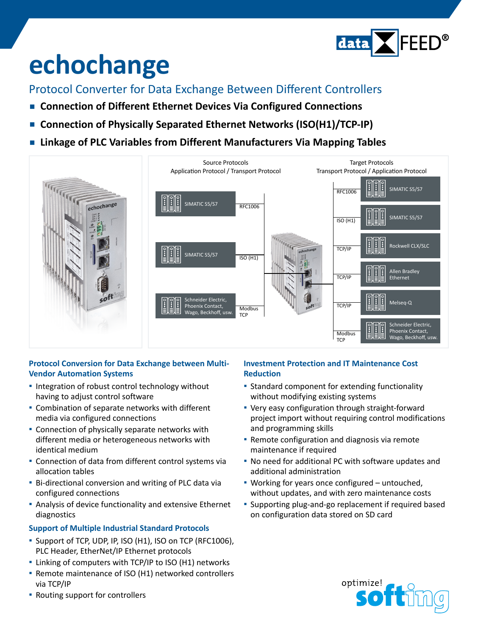

# **echochange**

Protocol Converter for Data Exchange Between Different Controllers

- **Connection of Different Ethernet Devices Via Configured Connections**
- Connection of Physically Separated Ethernet Networks (ISO(H1)/TCP-IP)
- **▪  Linkage of PLC Variables from Different Manufacturers Via Mapping Tables**



### **Protocol Conversion for Data Exchange between Multi-Vendor Automation Systems**

- **▪** Integration of robust control technology without having to adjust control software
- **▪** Combination of separate networks with different media via configured connections
- **▪** Connection of physically separate networks with different media or heterogeneous networks with identical medium
- **▪** Connection of data from different control systems via allocation tables
- **▪** Bi-directional conversion and writing of PLC data via configured connections
- **▪** Analysis of device functionality and extensive Ethernet diagnostics

#### **Support of Multiple Industrial Standard Protocols**

- **▪** Support of TCP, UDP, IP, ISO (H1), ISO on TCP (RFC1006), PLC Header, EtherNet/IP Ethernet protocols
- **▪** Linking of computers with TCP/IP to ISO (H1) networks
- **▪** Remote maintenance of ISO (H1) networked controllers via TCP/IP

#### **Investment Protection and IT Maintenance Cost Reduction**

- **EXTENDING COMPONENT FOR EXTENDING THE STANDARY STANDARY** without modifying existing systems
- **▪** Very easy configuration through straight-forward project import without requiring control modifications and programming skills
- **E** Remote configuration and diagnosis via remote maintenance if required
- **▪** No need for additional PC with software updates and additional administration
- **▪** Working for years once configured untouched, without updates, and with zero maintenance costs
- **▪** Supporting plug-and-go replacement if required based on configuration data stored on SD card



**▪** Routing support for controllers